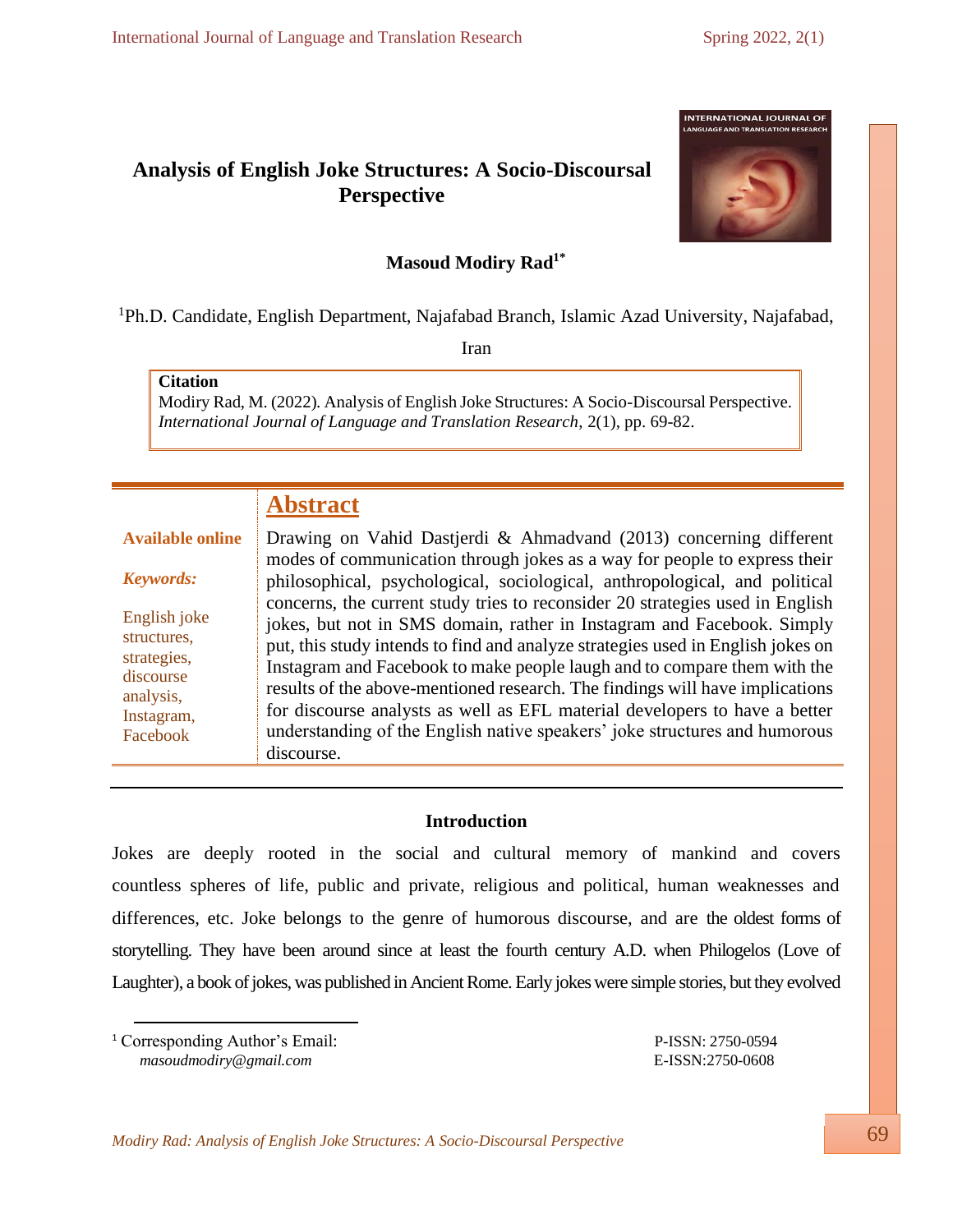# **Analysis of English Joke Structures: A Socio-Discoursal Perspective**

### **Masoud Modiry Rad1\***

<sup>1</sup>Ph.D. Candidate, English Department, Najafabad Branch, Islamic Azad University, Najafabad,

Iran

### **Citation**

Modiry Rad, M. (2022). Analysis of English Joke Structures: A Socio-Discoursal Perspective. *International Journal of Language and Translation Research*, 2(1), pp. 69-82.

# **Abstract**

#### *Keywords:*

**Available online**

English joke structures, strategies, discourse analysis, Instagram, Facebook Drawing on Vahid Dastjerdi & Ahmadvand (2013) concerning different modes of communication through jokes as a way for people to express their philosophical, psychological, sociological, anthropological, and political concerns, the current study tries to reconsider 20 strategies used in English jokes, but not in SMS domain, rather in Instagram and Facebook. Simply put, this study intends to find and analyze strategies used in English jokes on Instagram and Facebook to make people laugh and to compare them with the results of the above-mentioned research. The findings will have implications for discourse analysts as well as EFL material developers to have a better understanding of the English native speakers' joke structures and humorous discourse.

### **Introduction**

Jokes are deeply rooted in the social and cultural memory of mankind and covers countless spheres of life, public and private, religious and political, human weaknesses and differences, etc. Joke belongs to the genre of humorous discourse, and are the oldest forms of storytelling. They have been around since at least the fourth century A.D. when Philogelos (Love of Laughter), a book of jokes, was published in Ancient Rome. Early jokes were simple stories, but they evolved

<sup>1</sup> Corresponding Author's Email: P-ISSN: 2750-0594  *[masoudmodiry@gmail.com](mailto:masoudmodiry@gmail.com)* E-ISSN:2750-0608

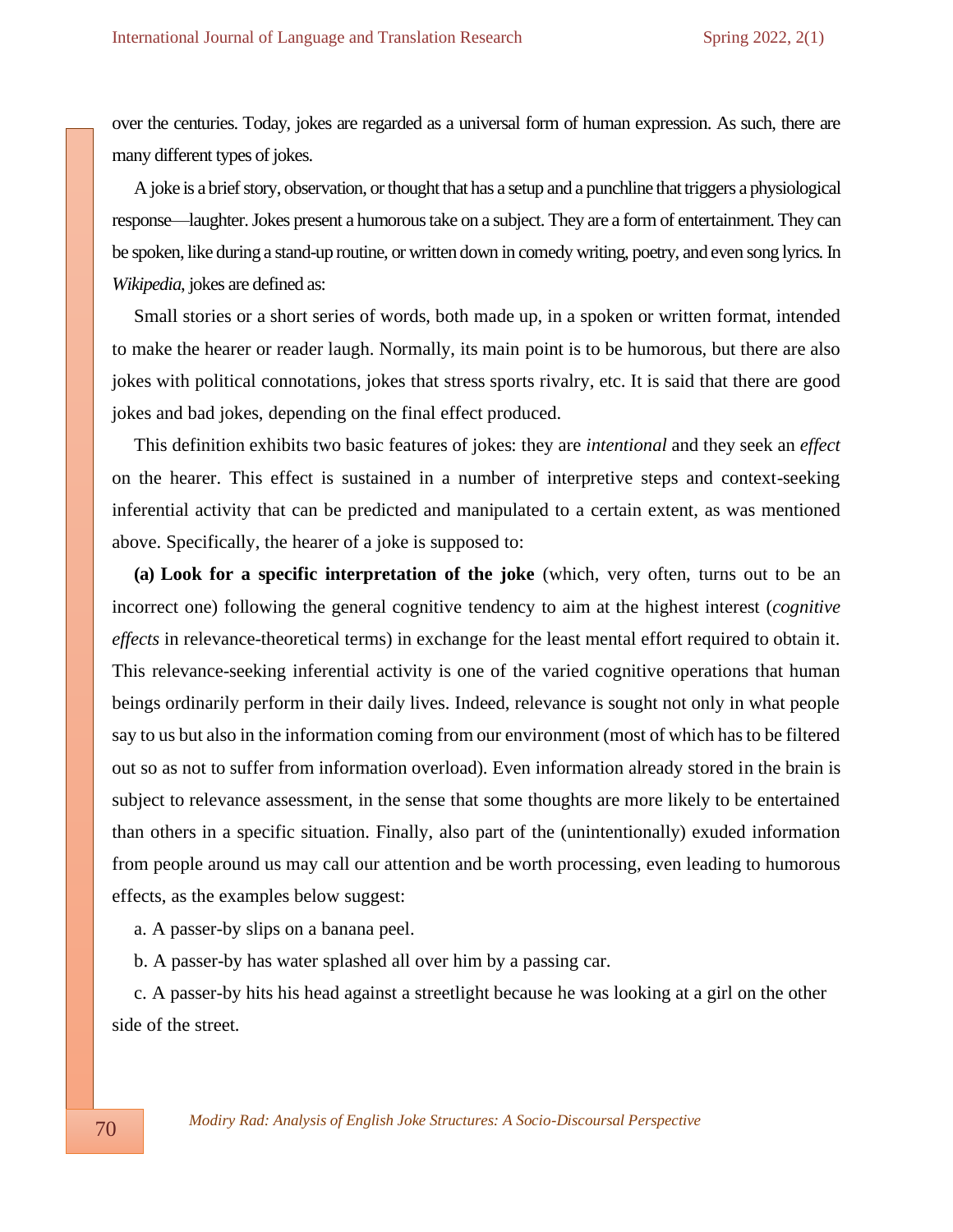over the centuries. Today, jokes are regarded as a universal form of human expression. As such, there are many different types of jokes.

A joke is a brief story, observation, or thought that has a setup and a punchline that triggers a physiological response—laughter. Jokes present a humorous take on a subject. They are a form of entertainment. They can be spoken, like during a stand-up routine, or written down in comedy writing, poetry, and even song lyrics. In *Wikipedia*, jokes are defined as:

Small stories or a short series of words, both made up, in a spoken or written format, intended to make the hearer or reader laugh. Normally, its main point is to be humorous, but there are also jokes with political connotations, jokes that stress sports rivalry, etc. It is said that there are good jokes and bad jokes, depending on the final effect produced.

This definition exhibits two basic features of jokes: they are *intentional* and they seek an *effect*  on the hearer. This effect is sustained in a number of interpretive steps and context-seeking inferential activity that can be predicted and manipulated to a certain extent, as was mentioned above. Specifically, the hearer of a joke is supposed to:

**(a) Look for a specific interpretation of the joke** (which, very often, turns out to be an incorrect one) following the general cognitive tendency to aim at the highest interest (*cognitive effects* in relevance-theoretical terms) in exchange for the least mental effort required to obtain it. This relevance-seeking inferential activity is one of the varied cognitive operations that human beings ordinarily perform in their daily lives. Indeed, relevance is sought not only in what people say to us but also in the information coming from our environment (most of which has to be filtered out so as not to suffer from information overload). Even information already stored in the brain is subject to relevance assessment, in the sense that some thoughts are more likely to be entertained than others in a specific situation. Finally, also part of the (unintentionally) exuded information from people around us may call our attention and be worth processing, even leading to humorous effects, as the examples below suggest:

a. A passer-by slips on a banana peel.

b. A passer-by has water splashed all over him by a passing car.

c. A passer-by hits his head against a streetlight because he was looking at a girl on the other side of the street.

 *Modiry Rad: Analysis of English Joke Structures: A Socio-Discoursal Perspective*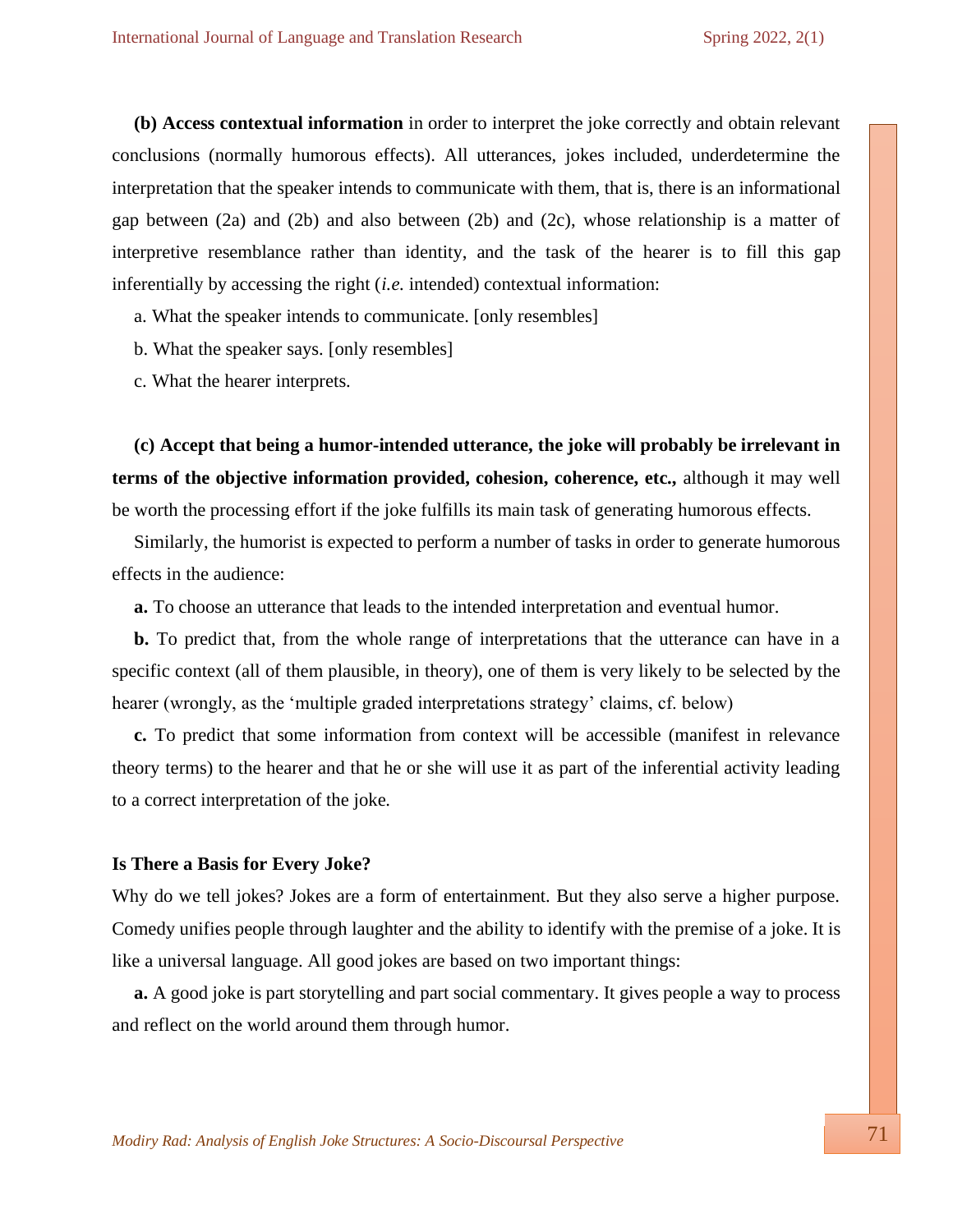**(b) Access contextual information** in order to interpret the joke correctly and obtain relevant conclusions (normally humorous effects). All utterances, jokes included, underdetermine the interpretation that the speaker intends to communicate with them, that is, there is an informational gap between  $(2a)$  and  $(2b)$  and also between  $(2b)$  and  $(2c)$ , whose relationship is a matter of interpretive resemblance rather than identity, and the task of the hearer is to fill this gap inferentially by accessing the right (*i.e.* intended) contextual information:

a. What the speaker intends to communicate. [only resembles]

b. What the speaker says. [only resembles]

c. What the hearer interprets.

**(c) Accept that being a humor-intended utterance, the joke will probably be irrelevant in terms of the objective information provided, cohesion, coherence, etc.,** although it may well be worth the processing effort if the joke fulfills its main task of generating humorous effects.

Similarly, the humorist is expected to perform a number of tasks in order to generate humorous effects in the audience:

**a.** To choose an utterance that leads to the intended interpretation and eventual humor.

**b.** To predict that, from the whole range of interpretations that the utterance can have in a specific context (all of them plausible, in theory), one of them is very likely to be selected by the hearer (wrongly, as the 'multiple graded interpretations strategy' claims, cf. below)

**c.** To predict that some information from context will be accessible (manifest in relevance theory terms) to the hearer and that he or she will use it as part of the inferential activity leading to a correct interpretation of the joke.

#### **Is There a Basis for Every Joke?**

Why do we tell jokes? Jokes are a form of entertainment. But they also serve a higher purpose. Comedy unifies people through laughter and the ability to identify with the premise of a joke. It is like a universal language. All good jokes are based on two important things:

**a.** A good joke is part storytelling and part social commentary. It gives people a way to process and reflect on the world around them through humor.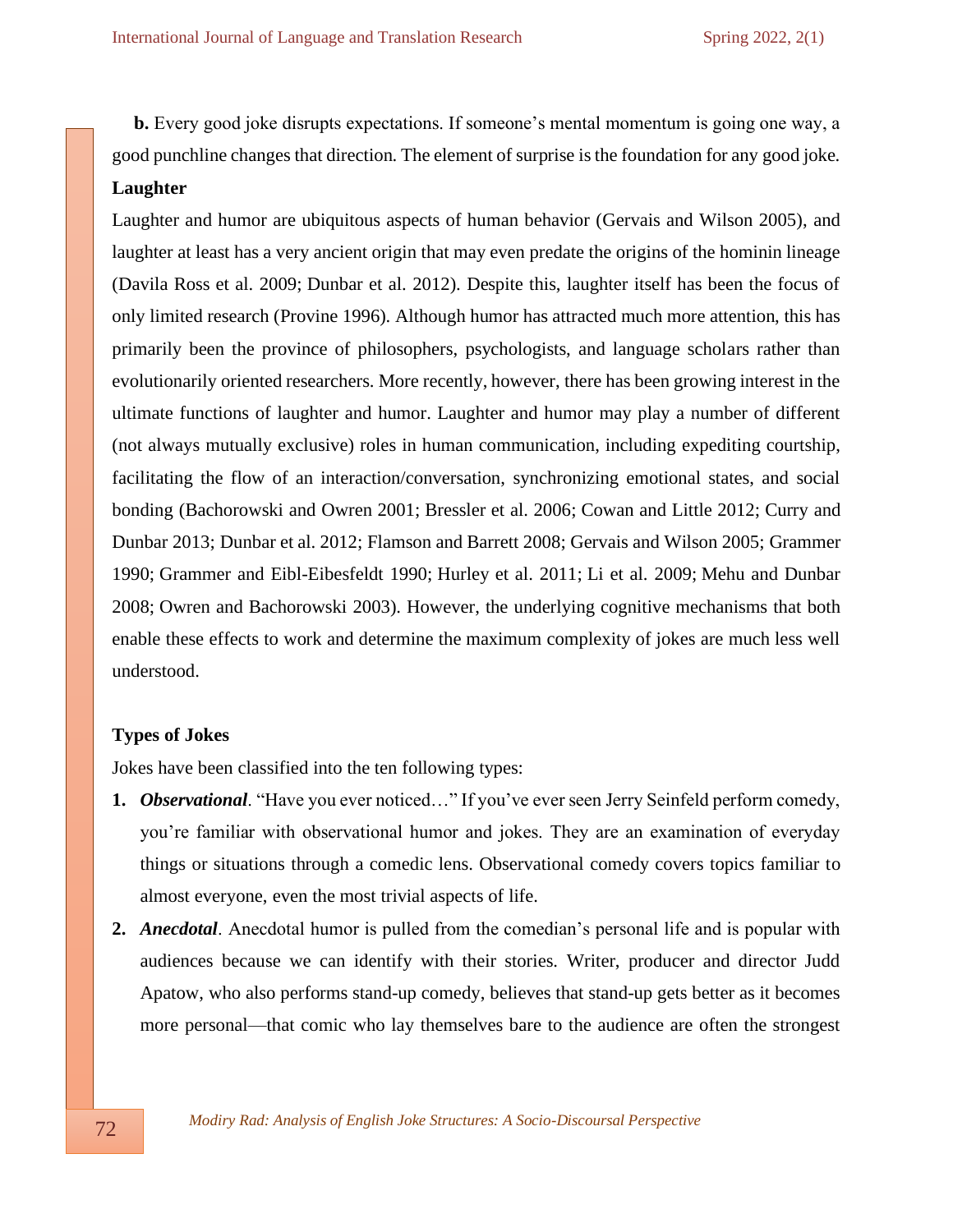**b.** Every good joke disrupts expectations. If someone's mental momentum is going one way, a good punchline changes that direction. The element of surprise is the foundation for any good joke. **Laughter** 

Laughter and humor are ubiquitous aspects of human behavior [\(Gervais and Wilson 2005\)](https://www.ncbi.nlm.nih.gov/pmc/articles/PMC4864470/#R18), and laughter at least has a very ancient origin that may even predate the origins of the hominin lineage [\(Davila Ross et al. 2009;](https://www.ncbi.nlm.nih.gov/pmc/articles/PMC4864470/#R7) [Dunbar et al. 2012\)](https://www.ncbi.nlm.nih.gov/pmc/articles/PMC4864470/#R12). Despite this, laughter itself has been the focus of only limited research [\(Provine 1996\)](https://www.ncbi.nlm.nih.gov/pmc/articles/PMC4864470/#R30). Although humor has attracted much more attention, this has primarily been the province of philosophers, psychologists, and language scholars rather than evolutionarily oriented researchers. More recently, however, there has been growing interest in the ultimate functions of laughter and humor. Laughter and humor may play a number of different (not always mutually exclusive) roles in human communication, including expediting courtship, facilitating the flow of an interaction/conversation, synchronizing emotional states, and social bonding [\(Bachorowski and Owren 2001;](https://www.ncbi.nlm.nih.gov/pmc/articles/PMC4864470/#R1) [Bressler et al. 2006;](https://www.ncbi.nlm.nih.gov/pmc/articles/PMC4864470/#R2) [Cowan and Little 2012;](https://www.ncbi.nlm.nih.gov/pmc/articles/PMC4864470/#R5) [Curry and](https://www.ncbi.nlm.nih.gov/pmc/articles/PMC4864470/#R6)  [Dunbar 2013;](https://www.ncbi.nlm.nih.gov/pmc/articles/PMC4864470/#R6) [Dunbar et al. 2012;](https://www.ncbi.nlm.nih.gov/pmc/articles/PMC4864470/#R12) [Flamson and Barrett 2008;](https://www.ncbi.nlm.nih.gov/pmc/articles/PMC4864470/#R16) [Gervais and Wilson 2005;](https://www.ncbi.nlm.nih.gov/pmc/articles/PMC4864470/#R18) [Grammer](https://www.ncbi.nlm.nih.gov/pmc/articles/PMC4864470/#R19)  [1990;](https://www.ncbi.nlm.nih.gov/pmc/articles/PMC4864470/#R19) [Grammer and Eibl-Eibesfeldt 1990;](https://www.ncbi.nlm.nih.gov/pmc/articles/PMC4864470/#R20) [Hurley et al. 2011;](https://www.ncbi.nlm.nih.gov/pmc/articles/PMC4864470/#R21) [Li et al. 2009;](https://www.ncbi.nlm.nih.gov/pmc/articles/PMC4864470/#R25) [Mehu and Dunbar](https://www.ncbi.nlm.nih.gov/pmc/articles/PMC4864470/#R27)  [2008;](https://www.ncbi.nlm.nih.gov/pmc/articles/PMC4864470/#R27) [Owren and Bachorowski 2003\)](https://www.ncbi.nlm.nih.gov/pmc/articles/PMC4864470/#R28). However, the underlying cognitive mechanisms that both enable these effects to work and determine the maximum complexity of jokes are much less well understood.

#### **Types of Jokes**

Jokes have been classified into the ten following types:

- **1.** *Observational*. "Have you ever noticed…" If you've ever seen Jerry Seinfeld perform comedy, you're familiar with observational humor and jokes. They are an examination of everyday things or situations through a comedic lens. Observational comedy covers topics familiar to almost everyone, even the most trivial aspects of life.
- **2.** *Anecdotal*. Anecdotal humor is pulled from the comedian's personal life and is popular with audiences because we can identify with their stories. Writer, producer and director Judd Apatow, who also performs stand-up comedy, believes that stand-up gets better as it becomes more personal—that comic who lay themselves bare to the audience are often the strongest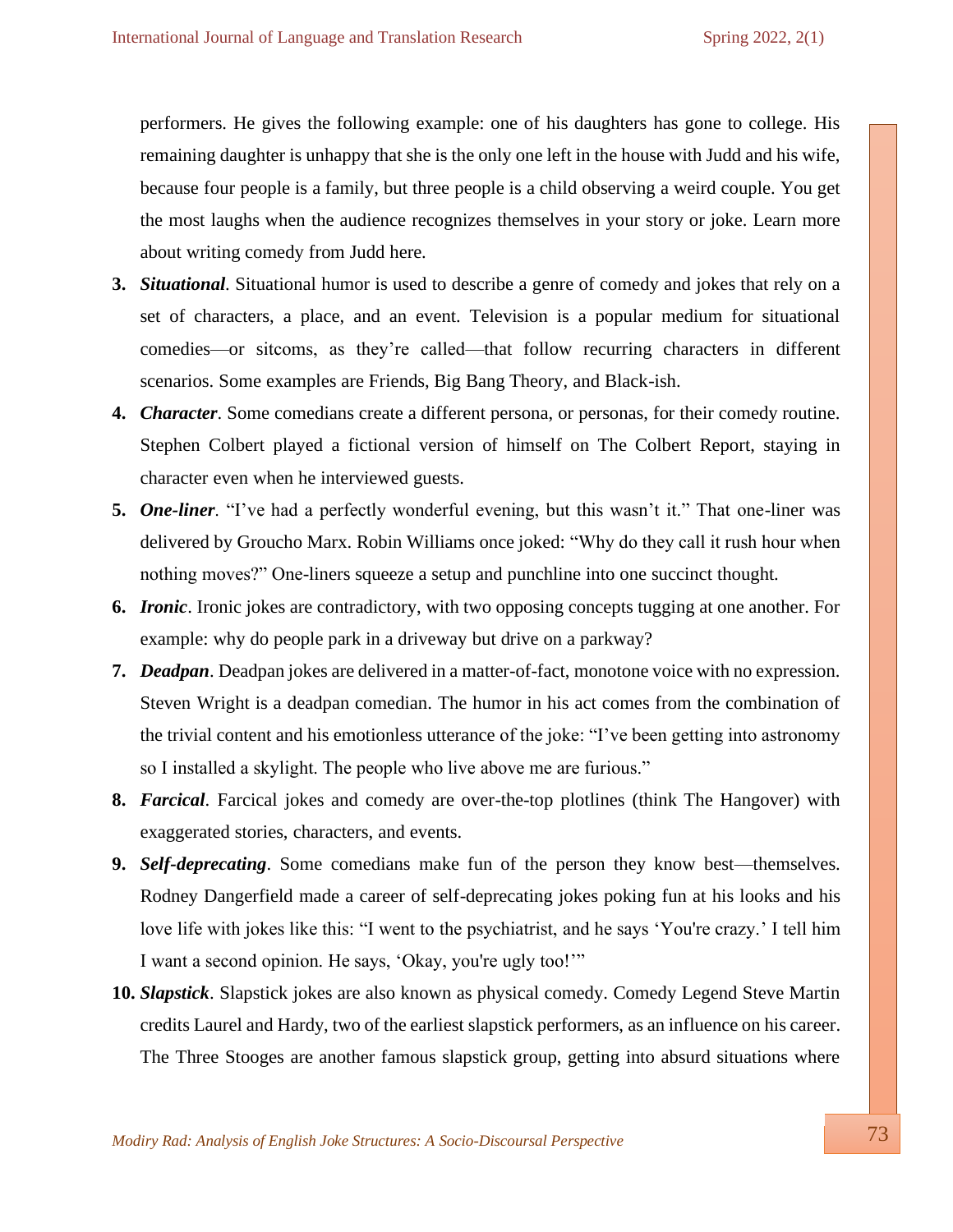performers. He gives the following example: one of his daughters has gone to college. His remaining daughter is unhappy that she is the only one left in the house with Judd and his wife, because four people is a family, but three people is a child observing a weird couple. You get the most laughs when the audience recognizes themselves in your story or joke. Learn more about writing comedy from Judd here.

- **3.** *Situational*. Situational humor is used to describe a genre of comedy and jokes that rely on a set of characters, a place, and an event. Television is a popular medium for situational comedies—or sitcoms, as they're called—that follow recurring characters in different scenarios. Some examples are Friends, Big Bang Theory, and Black-ish.
- **4.** *Character*. Some comedians create a different persona, or personas, for their comedy routine. Stephen Colbert played a fictional version of himself on The Colbert Report, staying in character even when he interviewed guests.
- **5.** *One-liner*. "I've had a perfectly wonderful evening, but this wasn't it." That one-liner was delivered by Groucho Marx. Robin Williams once joked: "Why do they call it rush hour when nothing moves?" One-liners squeeze a setup and punchline into one succinct thought.
- **6.** *Ironic*. Ironic jokes are contradictory, with two opposing concepts tugging at one another. For example: why do people park in a driveway but drive on a parkway?
- **7.** *Deadpan*. Deadpan jokes are delivered in a matter-of-fact, monotone voice with no expression. Steven Wright is a deadpan comedian. The humor in his act comes from the combination of the trivial content and his emotionless utterance of the joke: "I've been getting into astronomy so I installed a skylight. The people who live above me are furious."
- **8.** *Farcical*. Farcical jokes and comedy are over-the-top plotlines (think The Hangover) with exaggerated stories, characters, and events.
- **9.** *Self-deprecating*. Some comedians make fun of the person they know best—themselves. Rodney Dangerfield made a career of self-deprecating jokes poking fun at his looks and his love life with jokes like this: "I went to the psychiatrist, and he says 'You're crazy.' I tell him I want a second opinion. He says, 'Okay, you're ugly too!'"
- **10.** *Slapstick*. Slapstick jokes are also known as physical comedy. Comedy Legend Steve Martin credits Laurel and Hardy, two of the earliest slapstick performers, as an influence on his career. The Three Stooges are another famous slapstick group, getting into absurd situations where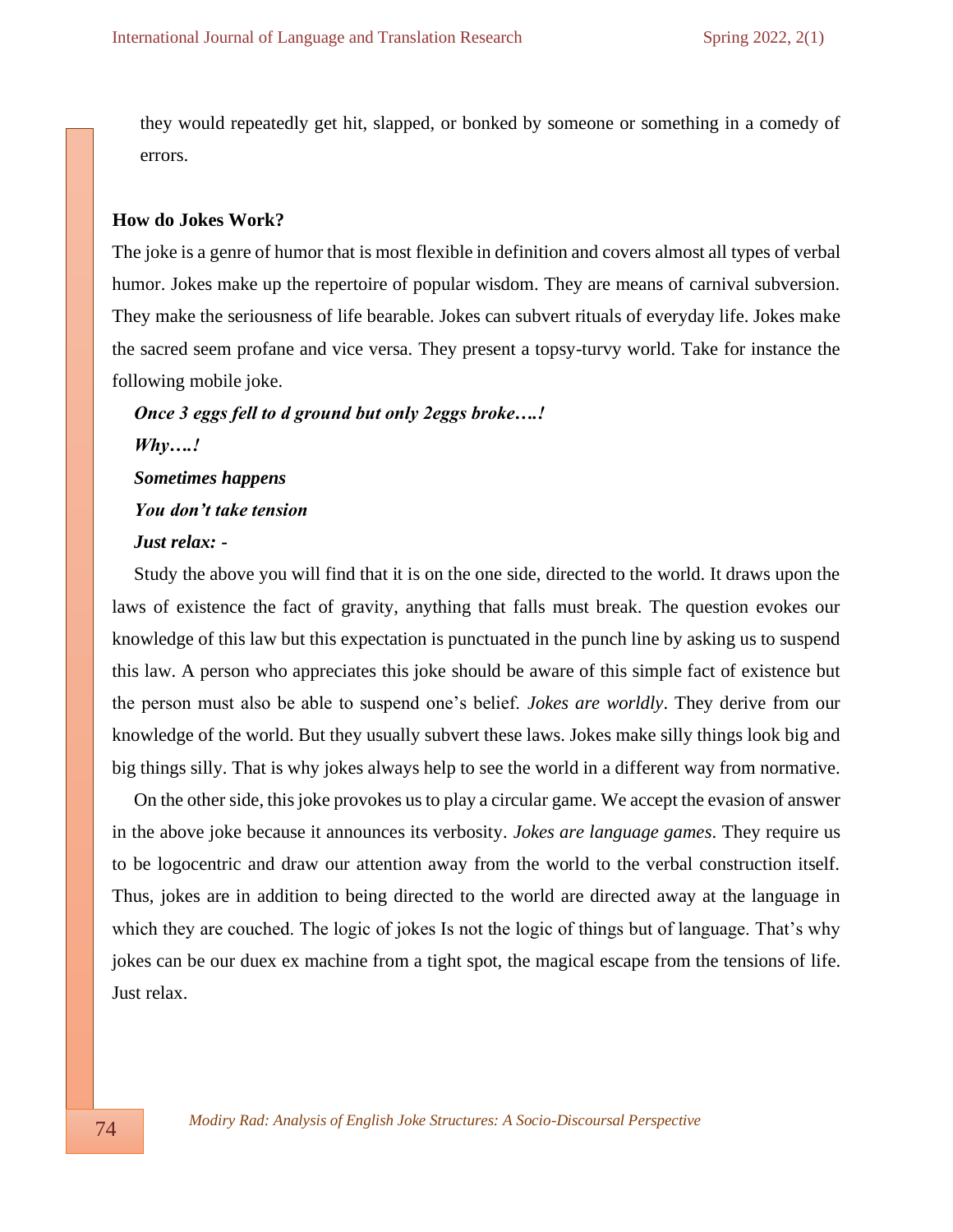they would repeatedly get hit, slapped, or bonked by someone or something in a comedy of errors.

#### **How do Jokes Work?**

The joke is a genre of humor that is most flexible in definition and covers almost all types of verbal humor. Jokes make up the repertoire of popular wisdom. They are means of carnival subversion. They make the seriousness of life bearable. Jokes can subvert rituals of everyday life. Jokes make the sacred seem profane and vice versa. They present a topsy-turvy world. Take for instance the following mobile joke.

*Once 3 eggs fell to d ground but only 2eggs broke….! Why….! Sometimes happens You don't take tension Just relax: -*

Study the above you will find that it is on the one side, directed to the world. It draws upon the laws of existence the fact of gravity, anything that falls must break. The question evokes our knowledge of this law but this expectation is punctuated in the punch line by asking us to suspend this law. A person who appreciates this joke should be aware of this simple fact of existence but the person must also be able to suspend one's belief. *Jokes are worldly*. They derive from our knowledge of the world. But they usually subvert these laws. Jokes make silly things look big and big things silly. That is why jokes always help to see the world in a different way from normative.

On the other side, this joke provokes us to play a circular game. We accept the evasion of answer in the above joke because it announces its verbosity. *Jokes are language games*. They require us to be logocentric and draw our attention away from the world to the verbal construction itself. Thus, jokes are in addition to being directed to the world are directed away at the language in which they are couched. The logic of jokes Is not the logic of things but of language. That's why jokes can be our duex ex machine from a tight spot, the magical escape from the tensions of life. Just relax.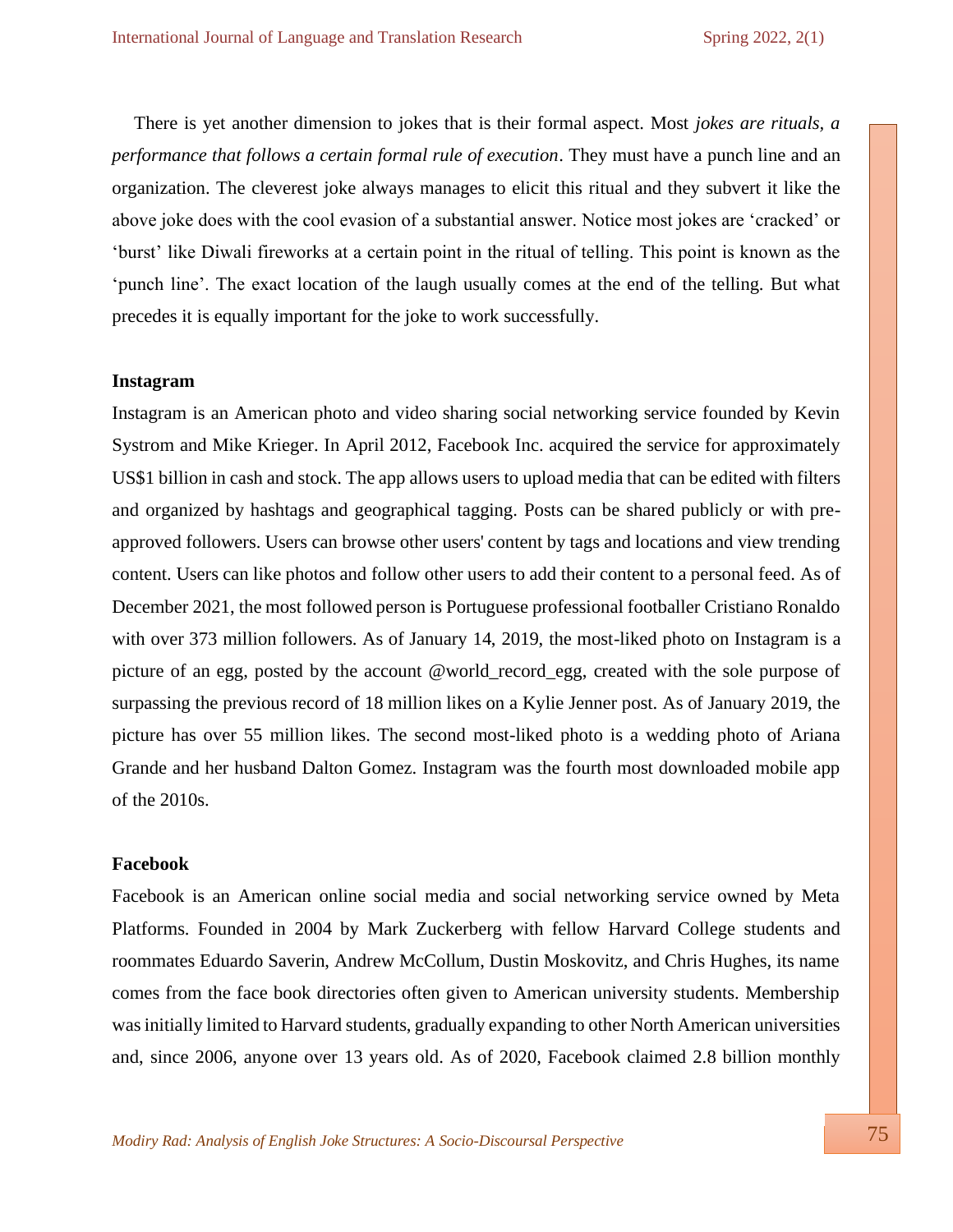There is yet another dimension to jokes that is their formal aspect. Most *jokes are rituals, a performance that follows a certain formal rule of execution*. They must have a punch line and an organization. The cleverest joke always manages to elicit this ritual and they subvert it like the above joke does with the cool evasion of a substantial answer. Notice most jokes are 'cracked' or 'burst' like Diwali fireworks at a certain point in the ritual of telling. This point is known as the 'punch line'. The exact location of the laugh usually comes at the end of the telling. But what precedes it is equally important for the joke to work successfully.

#### **Instagram**

Instagram is an American photo and video sharing social networking service founded by Kevin Systrom and Mike Krieger. In April 2012, Facebook Inc. acquired the service for approximately US\$1 billion in cash and stock. The app allows users to upload media that can be edited with filters and organized by hashtags and geographical tagging. Posts can be shared publicly or with preapproved followers. Users can browse other users' content by tags and locations and view trending content. Users can like photos and follow other users to add their content to a personal feed. As of December 2021, the most followed person is Portuguese professional footballer Cristiano Ronaldo with over 373 million followers. As of January 14, 2019, the most-liked photo on Instagram is a picture of an egg, posted by the account @world\_record\_egg, created with the sole purpose of surpassing the previous record of 18 million likes on a Kylie Jenner post. As of January 2019, the picture has over 55 million likes. The second most-liked photo is a wedding photo of Ariana Grande and her husband Dalton Gomez. Instagram was the fourth most downloaded mobile app of the 2010s.

#### **Facebook**

Facebook is an American online social media and social networking service owned by Meta Platforms. Founded in 2004 by Mark Zuckerberg with fellow Harvard College students and roommates Eduardo Saverin, Andrew McCollum, Dustin Moskovitz, and Chris Hughes, its name comes from the face book directories often given to American university students. Membership was initially limited to Harvard students, gradually expanding to other North American universities and, since 2006, anyone over 13 years old. As of 2020, Facebook claimed 2.8 billion monthly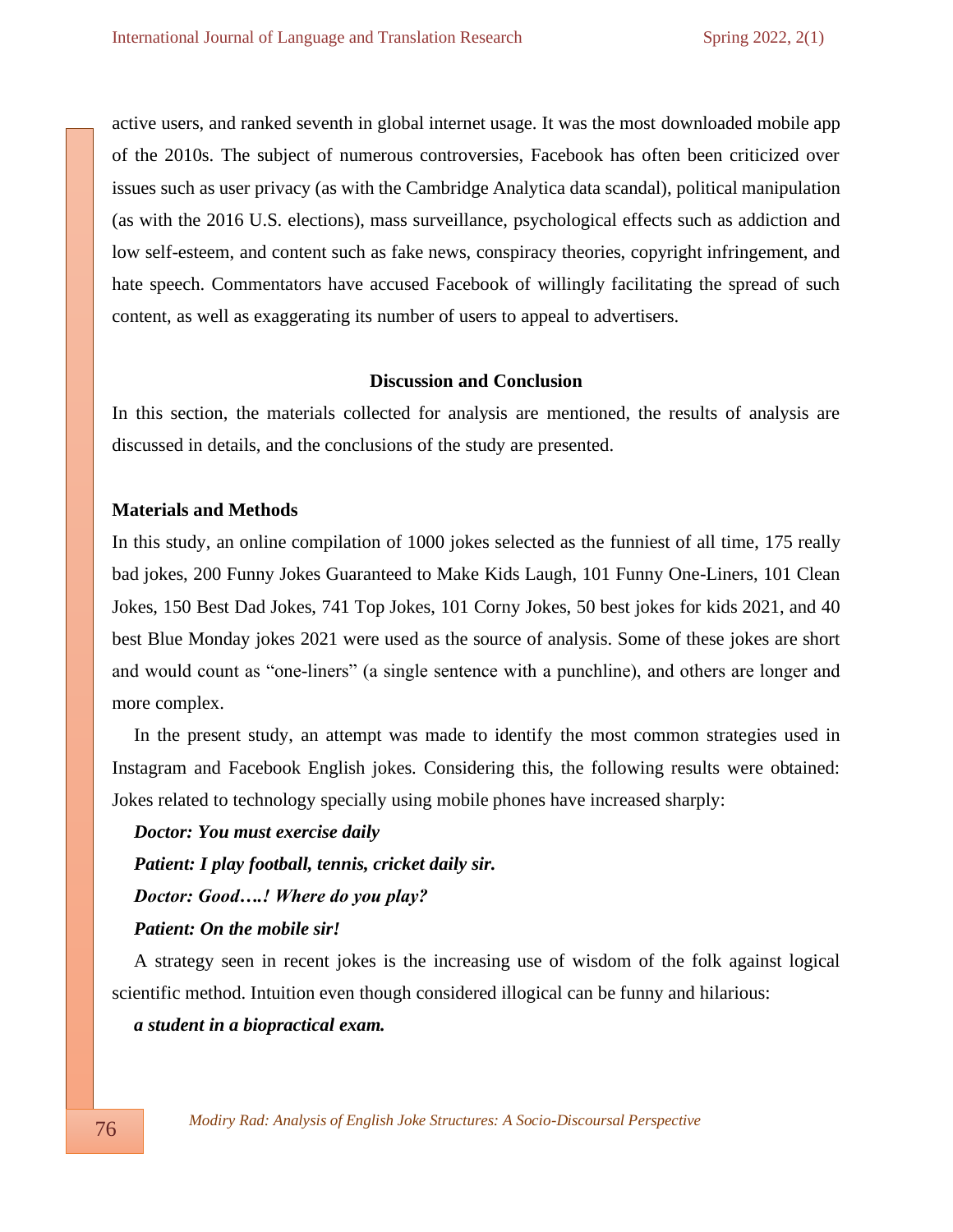active users, and ranked seventh in global internet usage. It was the most downloaded mobile app of the 2010s. The subject of numerous controversies, Facebook has often been criticized over issues such as user privacy (as with the Cambridge Analytica data scandal), political manipulation (as with the 2016 U.S. elections), mass surveillance, psychological effects such as addiction and low self-esteem, and content such as fake news, conspiracy theories, copyright infringement, and hate speech. Commentators have accused Facebook of willingly facilitating the spread of such content, as well as exaggerating its number of users to appeal to advertisers.

#### **Discussion and Conclusion**

In this section, the materials collected for analysis are mentioned, the results of analysis are discussed in details, and the conclusions of the study are presented.

#### **Materials and Methods**

In this study, an online compilation of 1000 jokes selected as the funniest of all time, 175 really bad jokes, 200 Funny Jokes Guaranteed to Make Kids Laugh, 101 Funny One-Liners, 101 Clean Jokes, 150 Best Dad Jokes, 741 Top Jokes, 101 Corny Jokes, 50 best jokes for kids 2021, and 40 best Blue Monday jokes 2021 were used as the source of analysis. Some of these jokes are short and would count as "one-liners" (a single sentence with a punchline), and others are longer and more complex.

In the present study, an attempt was made to identify the most common strategies used in Instagram and Facebook English jokes. Considering this, the following results were obtained: Jokes related to technology specially using mobile phones have increased sharply:

*Doctor: You must exercise daily Patient: I play football, tennis, cricket daily sir. Doctor: Good….! Where do you play? Patient: On the mobile sir!* 

A strategy seen in recent jokes is the increasing use of wisdom of the folk against logical scientific method. Intuition even though considered illogical can be funny and hilarious:

*a student in a biopractical exam.*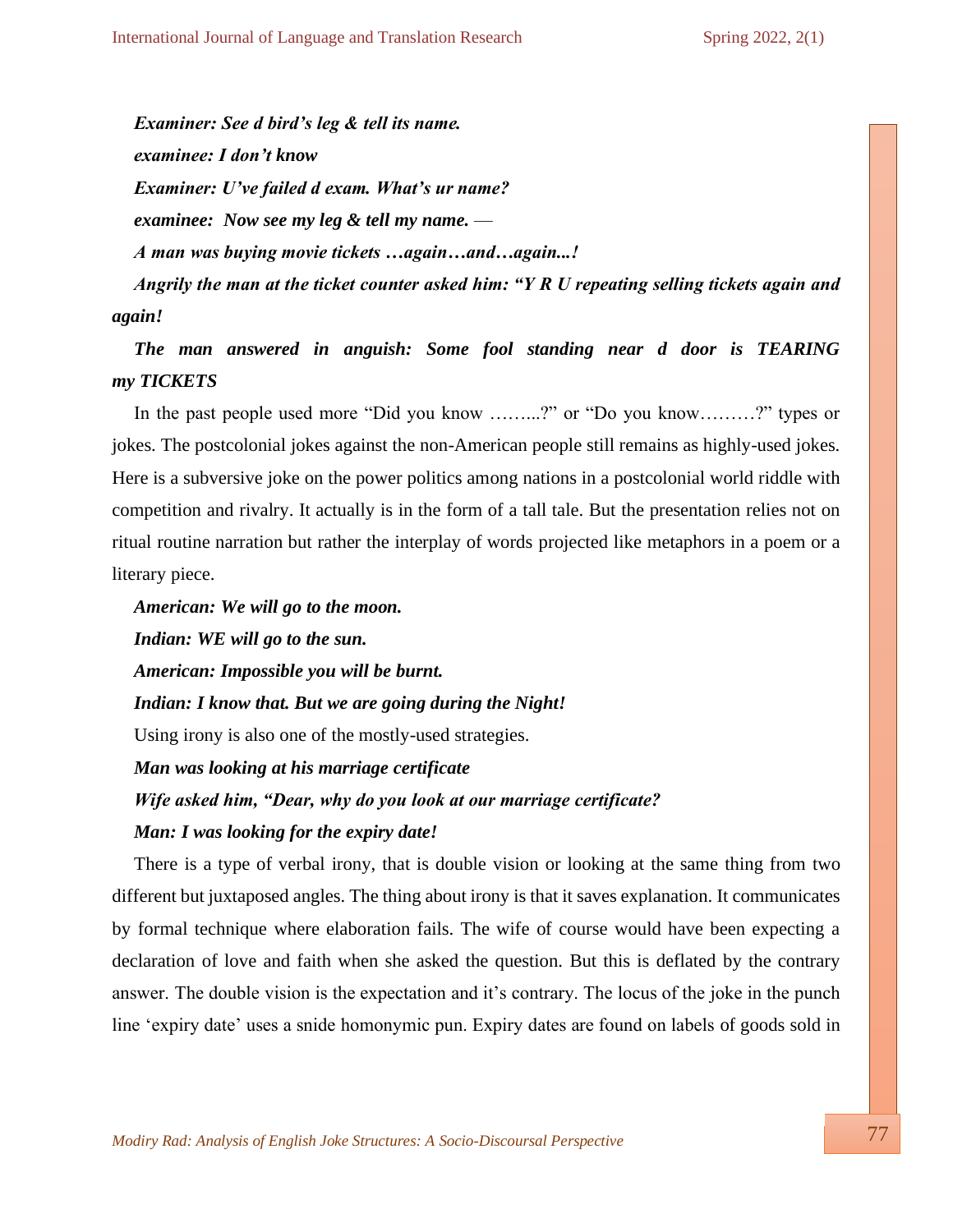*Examiner: See d bird's leg & tell its name. examinee: I don't know Examiner: U've failed d exam. What's ur name? examinee: Now see my leg & tell my name.* — *A man was buying movie tickets …again…and…again...! Angrily the man at the ticket counter asked him: "Y R U repeating selling tickets again and again!*

*The man answered in anguish: Some fool standing near d door is TEARING my TICKETS*

In the past people used more "Did you know ……...?" or "Do you know………?" types or jokes. The postcolonial jokes against the non-American people still remains as highly-used jokes. Here is a subversive joke on the power politics among nations in a postcolonial world riddle with competition and rivalry. It actually is in the form of a tall tale. But the presentation relies not on ritual routine narration but rather the interplay of words projected like metaphors in a poem or a literary piece.

*American: We will go to the moon. Indian: WE will go to the sun. American: Impossible you will be burnt. Indian: I know that. But we are going during the Night!* Using irony is also one of the mostly-used strategies. *Man was looking at his marriage certificate Wife asked him, "Dear, why do you look at our marriage certificate? Man: I was looking for the expiry date!*

There is a type of verbal irony, that is double vision or looking at the same thing from two different but juxtaposed angles. The thing about irony is that it saves explanation. It communicates by formal technique where elaboration fails. The wife of course would have been expecting a declaration of love and faith when she asked the question. But this is deflated by the contrary answer. The double vision is the expectation and it's contrary. The locus of the joke in the punch line 'expiry date' uses a snide homonymic pun. Expiry dates are found on labels of goods sold in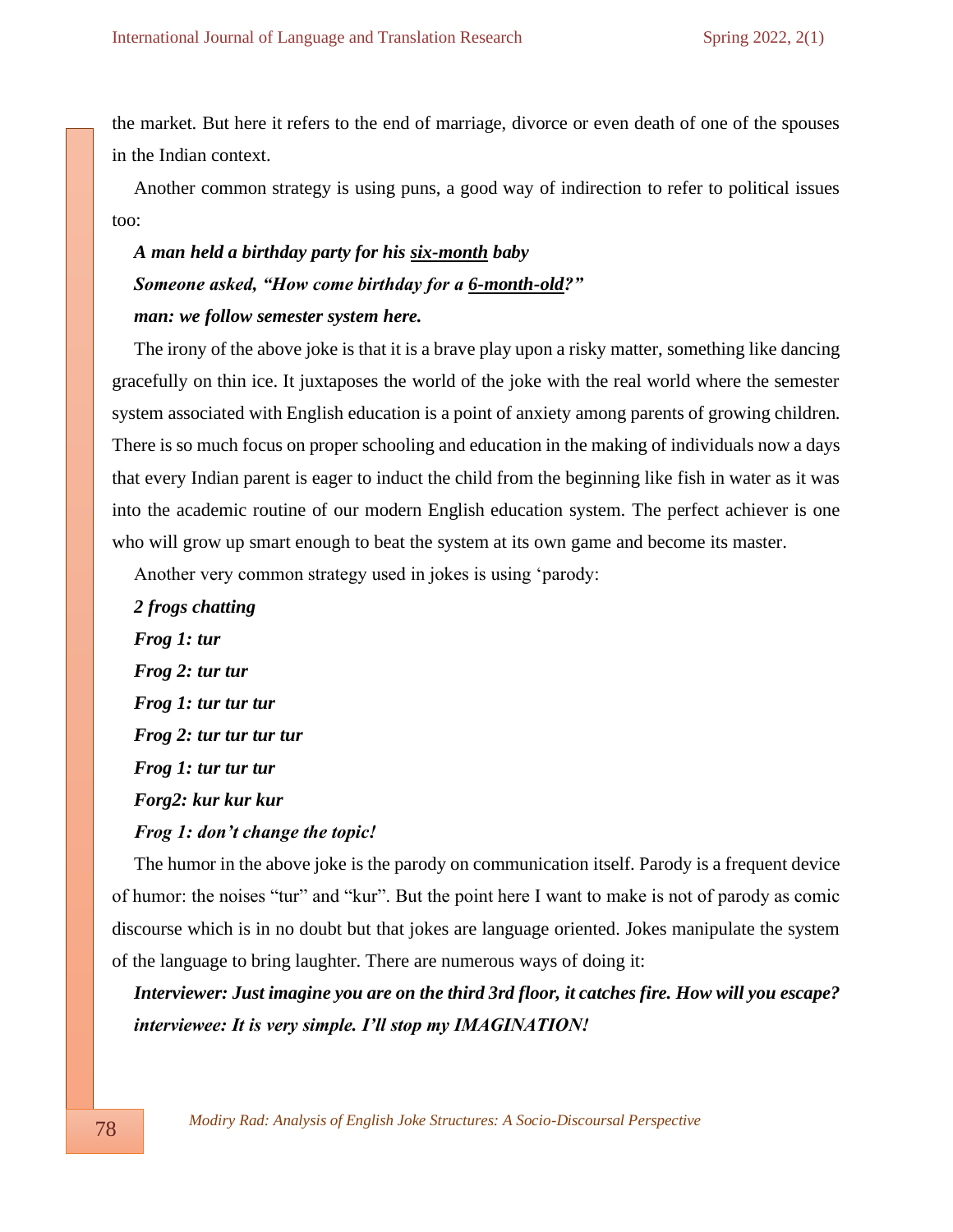the market. But here it refers to the end of marriage, divorce or even death of one of the spouses in the Indian context.

Another common strategy is using puns, a good way of indirection to refer to political issues too:

# *A man held a birthday party for his six-month baby Someone asked, "How come birthday for a 6-month-old?" man: we follow semester system here.*

The irony of the above joke is that it is a brave play upon a risky matter, something like dancing gracefully on thin ice. It juxtaposes the world of the joke with the real world where the semester system associated with English education is a point of anxiety among parents of growing children. There is so much focus on proper schooling and education in the making of individuals now a days that every Indian parent is eager to induct the child from the beginning like fish in water as it was into the academic routine of our modern English education system. The perfect achiever is one who will grow up smart enough to beat the system at its own game and become its master.

Another very common strategy used in jokes is using 'parody:

*2 frogs chatting Frog 1: tur Frog 2: tur tur Frog 1: tur tur tur Frog 2: tur tur tur tur Frog 1: tur tur tur Forg2: kur kur kur Frog 1: don't change the topic!*

The humor in the above joke is the parody on communication itself. Parody is a frequent device of humor: the noises "tur" and "kur". But the point here I want to make is not of parody as comic discourse which is in no doubt but that jokes are language oriented. Jokes manipulate the system of the language to bring laughter. There are numerous ways of doing it:

*Interviewer: Just imagine you are on the third 3rd floor, it catches fire. How will you escape? interviewee: It is very simple. I'll stop my IMAGINATION!*

 *Modiry Rad: Analysis of English Joke Structures: A Socio-Discoursal Perspective*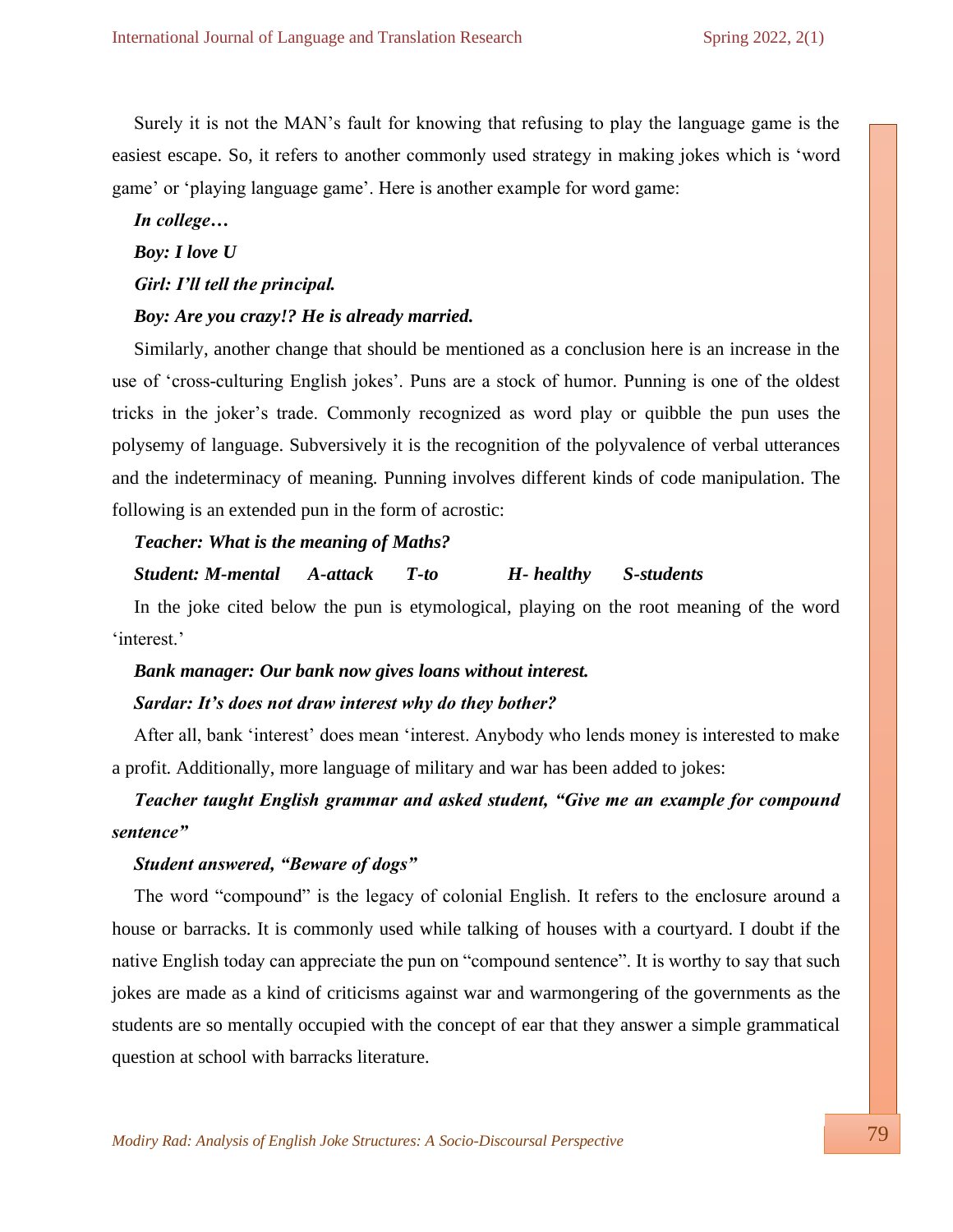Surely it is not the MAN's fault for knowing that refusing to play the language game is the easiest escape. So, it refers to another commonly used strategy in making jokes which is 'word game' or 'playing language game'. Here is another example for word game:

*In college…*

*Boy: I love U*

*Girl: I'll tell the principal.*

#### *Boy: Are you crazy!? He is already married.*

Similarly, another change that should be mentioned as a conclusion here is an increase in the use of 'cross-culturing English jokes'. Puns are a stock of humor. Punning is one of the oldest tricks in the joker's trade. Commonly recognized as word play or quibble the pun uses the polysemy of language. Subversively it is the recognition of the polyvalence of verbal utterances and the indeterminacy of meaning. Punning involves different kinds of code manipulation. The following is an extended pun in the form of acrostic:

#### *Teacher: What is the meaning of Maths?*

*Student: M-mental A-attack T-to H- healthy S-students*

In the joke cited below the pun is etymological, playing on the root meaning of the word 'interest.'

## *Bank manager: Our bank now gives loans without interest. Sardar: It's does not draw interest why do they bother?*

After all, bank 'interest' does mean 'interest. Anybody who lends money is interested to make a profit. Additionally, more language of military and war has been added to jokes:

### *Teacher taught English grammar and asked student, "Give me an example for compound sentence"*

#### *Student answered, "Beware of dogs"*

The word "compound" is the legacy of colonial English. It refers to the enclosure around a house or barracks. It is commonly used while talking of houses with a courtyard. I doubt if the native English today can appreciate the pun on "compound sentence". It is worthy to say that such jokes are made as a kind of criticisms against war and warmongering of the governments as the students are so mentally occupied with the concept of ear that they answer a simple grammatical question at school with barracks literature.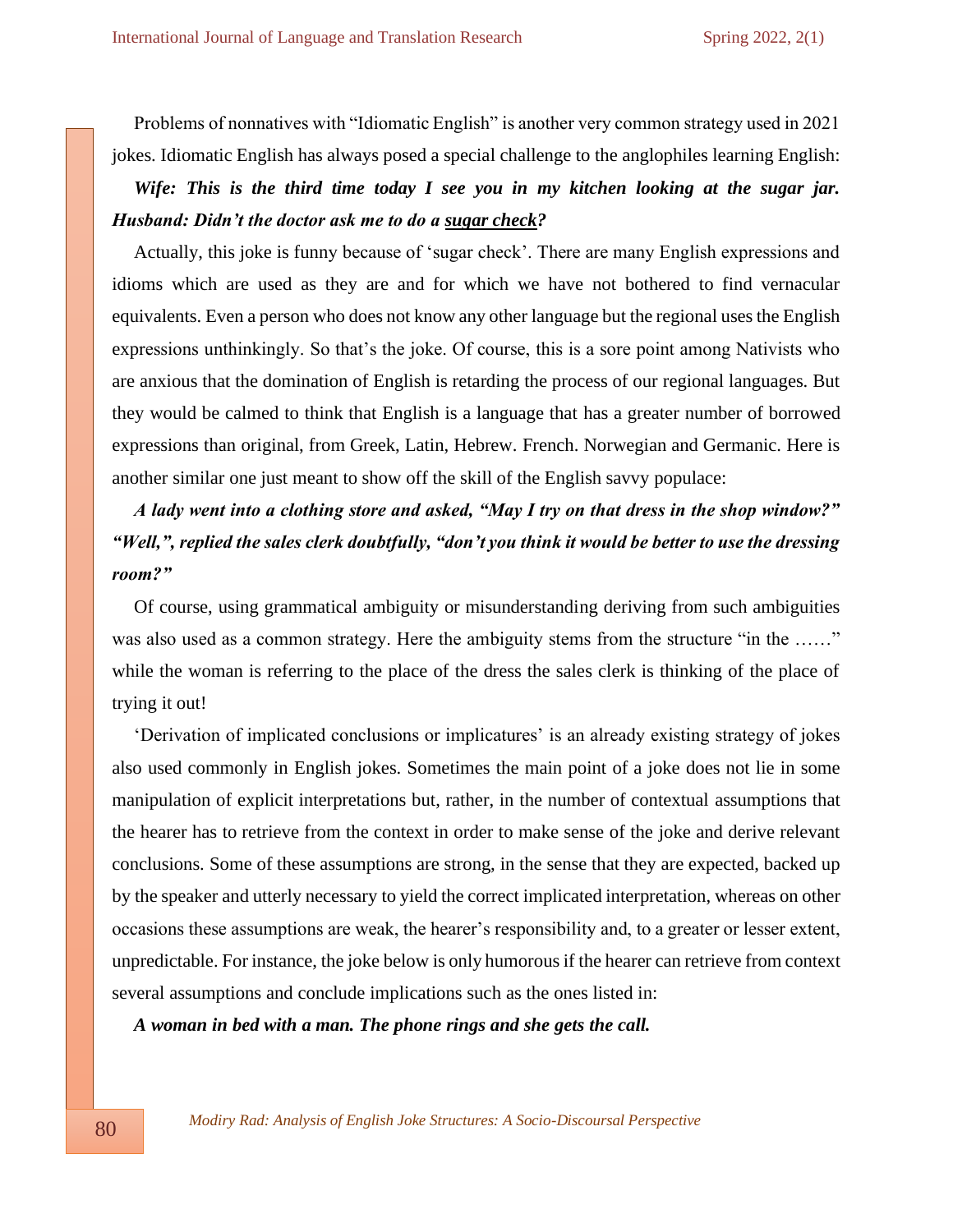Problems of nonnatives with "Idiomatic English" is another very common strategy used in 2021 jokes. Idiomatic English has always posed a special challenge to the anglophiles learning English:

*Wife: This is the third time today I see you in my kitchen looking at the sugar jar. Husband: Didn't the doctor ask me to do a sugar check?*

Actually, this joke is funny because of 'sugar check'. There are many English expressions and idioms which are used as they are and for which we have not bothered to find vernacular equivalents. Even a person who does not know any other language but the regional uses the English expressions unthinkingly. So that's the joke. Of course, this is a sore point among Nativists who are anxious that the domination of English is retarding the process of our regional languages. But they would be calmed to think that English is a language that has a greater number of borrowed expressions than original, from Greek, Latin, Hebrew. French. Norwegian and Germanic. Here is another similar one just meant to show off the skill of the English savvy populace:

*A lady went into a clothing store and asked, "May I try on that dress in the shop window?" "Well,", replied the sales clerk doubtfully, "don't you think it would be better to use the dressing room?"*

Of course, using grammatical ambiguity or misunderstanding deriving from such ambiguities was also used as a common strategy. Here the ambiguity stems from the structure "in the ......" while the woman is referring to the place of the dress the sales clerk is thinking of the place of trying it out!

'Derivation of implicated conclusions or implicatures' is an already existing strategy of jokes also used commonly in English jokes. Sometimes the main point of a joke does not lie in some manipulation of explicit interpretations but, rather, in the number of contextual assumptions that the hearer has to retrieve from the context in order to make sense of the joke and derive relevant conclusions. Some of these assumptions are strong, in the sense that they are expected, backed up by the speaker and utterly necessary to yield the correct implicated interpretation, whereas on other occasions these assumptions are weak, the hearer's responsibility and, to a greater or lesser extent, unpredictable. For instance, the joke below is only humorous if the hearer can retrieve from context several assumptions and conclude implications such as the ones listed in:

*A woman in bed with a man. The phone rings and she gets the call.*

 *Modiry Rad: Analysis of English Joke Structures: A Socio-Discoursal Perspective*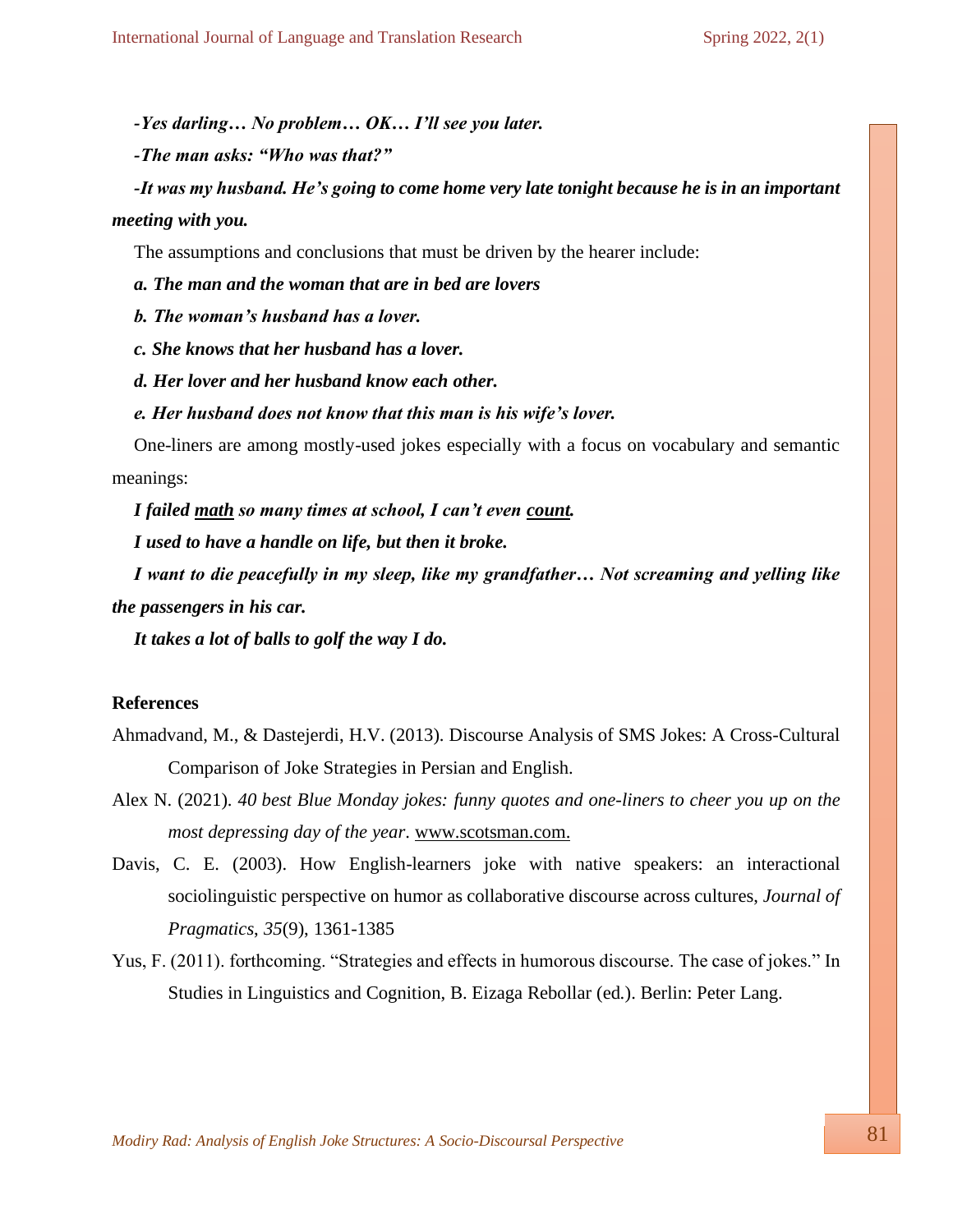*-Yes darling… No problem… OK… I'll see you later.*

*-The man asks: "Who was that?"*

*-It was my husband. He's going to come home very late tonight because he is in an important meeting with you.*

The assumptions and conclusions that must be driven by the hearer include:

*a. The man and the woman that are in bed are lovers*

*b. The woman's husband has a lover.*

*c. She knows that her husband has a lover.*

*d. Her lover and her husband know each other.*

*e. Her husband does not know that this man is his wife's lover.*

One-liners are among mostly-used jokes especially with a focus on vocabulary and semantic meanings:

*I failed math so many times at school, I can't even count.*

*I used to have a handle on life, but then it broke.*

*I want to die peacefully in my sleep, like my grandfather… Not screaming and yelling like the passengers in his car.*

*It takes a lot of balls to golf the way I do.* 

#### **References**

- Ahmadvand, M., & Dastejerdi, H.V. (2013). Discourse Analysis of SMS Jokes: A Cross-Cultural Comparison of Joke Strategies in Persian and English.
- Alex N. (2021). *40 best Blue Monday jokes: funny quotes and one-liners to cheer you up on the most depressing day of the year*. [www.scotsman.com.](http://www.scotsman.com/)
- Davis, C. E. (2003). How English-learners joke with native speakers: an interactional sociolinguistic perspective on humor as collaborative discourse across cultures, *Journal of Pragmatics*, *35*(9), 1361-1385
- Yus, F. (2011). forthcoming. "Strategies and effects in humorous discourse. The case of jokes." In Studies in Linguistics and Cognition, B. Eizaga Rebollar (ed.). Berlin: Peter Lang.